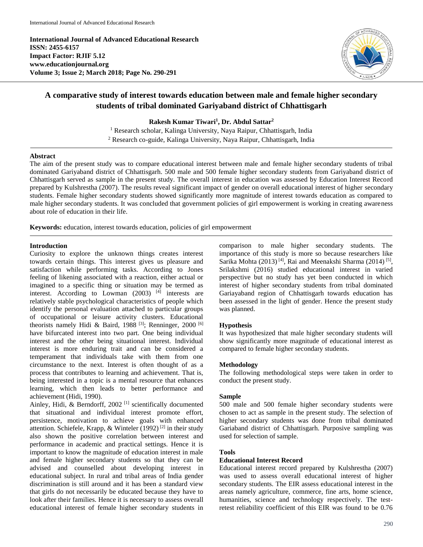**International Journal of Advanced Educational Research ISSN: 2455-6157 Impact Factor: RJIF 5.12 www.educationjournal.org Volume 3; Issue 2; March 2018; Page No. 290-291**



# **A comparative study of interest towards education between male and female higher secondary students of tribal dominated Gariyaband district of Chhattisgarh**

**Rakesh Kumar Tiwari<sup>1</sup> , Dr. Abdul Sattar<sup>2</sup>**

<sup>1</sup> Research scholar, Kalinga University, Naya Raipur, Chhattisgarh, India <sup>2</sup> Research co-guide, Kalinga University, Naya Raipur, Chhattisgarh, India

#### **Abstract**

The aim of the present study was to compare educational interest between male and female higher secondary students of tribal dominated Gariyaband district of Chhattisgarh. 500 male and 500 female higher secondary students from Gariyaband district of Chhattisgarh served as sample in the present study. The overall interest in education was assessed by Education Interest Record prepared by Kulshrestha (2007). The results reveal significant impact of gender on overall educational interest of higher secondary students. Female higher secondary students showed significantly more magnitude of interest towards education as compared to male higher secondary students. It was concluded that government policies of girl empowerment is working in creating awareness about role of education in their life.

**Keywords:** education, interest towards education, policies of girl empowerment

### **Introduction**

Curiosity to explore the unknown things creates interest towards certain things. This interest gives us pleasure and satisfaction while performing tasks. According to Jones feeling of likening associated with a reaction, either actual or imagined to a specific thing or situation may be termed as interest. According to Lowman  $(2003)$ <sup>[4]</sup> interests are relatively stable psychological characteristics of people which identify the personal evaluation attached to particular groups of occupational or leisure activity clusters. Educational theorists namely Hidi & Baird, 1988<sup>[3]</sup>; Renninger, 2000<sup>[6]</sup> have bifurcated interest into two part. One being individual interest and the other being situational interest. Individual interest is more enduring trait and can be considered a temperament that individuals take with them from one circumstance to the next. Interest is often thought of as a process that contributes to learning and achievement. That is, being interested in a topic is a mental resource that enhances learning, which then leads to better performance and achievement (Hidi, 1990).

Ainley, Hidi, & Berndorff, 2002<sup>[1]</sup> scientifically documented that situational and individual interest promote effort, persistence, motivation to achieve goals with enhanced attention. Schiefele, Krapp, & Winteler (1992)<sup>[2]</sup> in their study also shown the positive correlation between interest and performance in academic and practical settings. Hence it is important to know the magnitude of education interest in male and female higher secondary students so that they can be advised and counselled about developing interest in educational subject. In rural and tribal areas of India gender discrimination is still around and it has been a standard view that girls do not necessarily be educated because they have to look after their families. Hence it is necessary to assess overall educational interest of female higher secondary students in comparison to male higher secondary students. The importance of this study is more so because researchers like Sarika Mohta (2013)<sup>[4]</sup>, Rai and Meenakshi Sharma (2014)<sup>[5]</sup>, Srilakshmi (2016) studied educational interest in varied perspective but no study has yet been conducted in which interest of higher secondary students from tribal dominated Gariayaband region of Chhattisgarh towards education has been assessed in the light of gender. Hence the present study was planned.

### **Hypothesis**

It was hypothesized that male higher secondary students will show significantly more magnitude of educational interest as compared to female higher secondary students.

### **Methodology**

The following methodological steps were taken in order to conduct the present study.

### **Sample**

500 male and 500 female higher secondary students were chosen to act as sample in the present study. The selection of higher secondary students was done from tribal dominated Gariaband district of Chhattisgarh. Purposive sampling was used for selection of sample.

## **Tools**

## **Educational Interest Record**

Educational interest record prepared by Kulshrestha (2007) was used to assess overall educational interest of higher secondary students. The EIR assess educational interest in the areas namely agriculture, commerce, fine arts, home science, humanities, science and technology respectively. The testretest reliability coefficient of this EIR was found to be 0.76